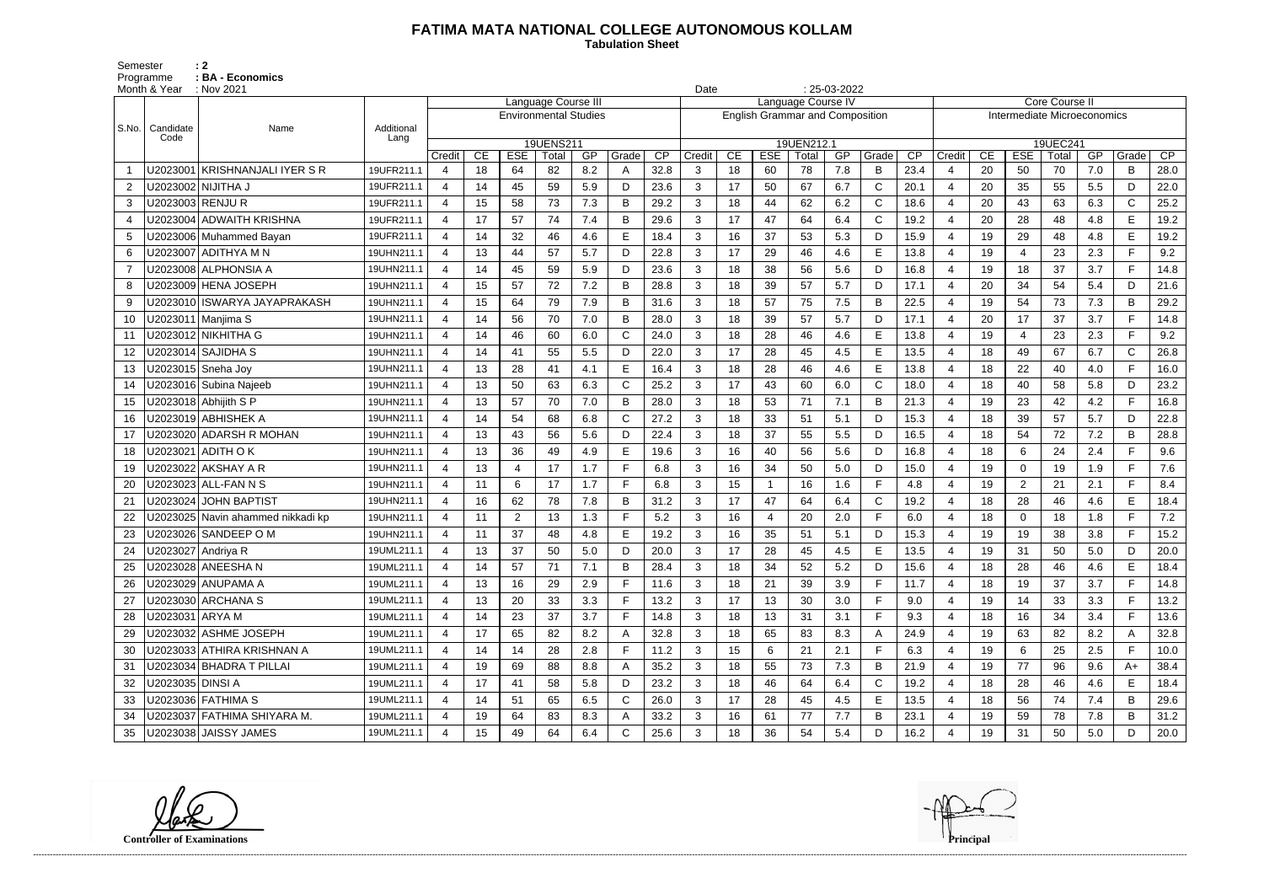## **FATIMA MATA NATIONAL COLLEGE AUTONOMOUS KOLLAM**

 **Tabulation Sheet** 

Semester : 2 Programme : **BA - Economics** 

|                | Month & Year       | $\therefore$ Nov 2021             |                    | $: 25-03-2022$<br>Date<br>Language Course III |    |                              |                    |     |              |      |                                                              |    |            |                     |     |              |      |                |                                               |                          |                   |     |              |      |  |
|----------------|--------------------|-----------------------------------|--------------------|-----------------------------------------------|----|------------------------------|--------------------|-----|--------------|------|--------------------------------------------------------------|----|------------|---------------------|-----|--------------|------|----------------|-----------------------------------------------|--------------------------|-------------------|-----|--------------|------|--|
|                |                    |                                   |                    |                                               |    |                              |                    |     |              |      | Language Course IV<br><b>English Grammar and Composition</b> |    |            |                     |     |              |      |                | Core Course II<br>Intermediate Microeconomics |                          |                   |     |              |      |  |
|                |                    |                                   |                    |                                               |    | <b>Environmental Studies</b> |                    |     |              |      |                                                              |    |            |                     |     |              |      |                |                                               |                          |                   |     |              |      |  |
| S.No.          | Candidate<br>Code  | Name                              | Additional<br>Lang |                                               |    |                              |                    |     |              |      |                                                              |    |            |                     |     |              |      |                |                                               |                          |                   |     |              |      |  |
|                |                    |                                   |                    | Credit                                        | CE | <b>ESE</b>                   | 19UENS211<br>Total | GP  | Grade        | CP   | Credit                                                       | CE | <b>ESE</b> | 19UEN212.1<br>Total | GP  | Grade        | CP   | Credit         | CE                                            | <b>ESE</b>               | 19UEC241<br>Total | GP  | Grade        | CP   |  |
|                | U2023001           | KRISHNANJALI IYER S R             | 19UFR211.1         | 4                                             | 18 | 64                           | 82                 | 8.2 | А            | 32.8 | 3                                                            | 18 | 60         | 78                  | 7.8 | B            | 23.4 | 4              | 20                                            | 50                       | 70                | 7.0 | B            | 28.0 |  |
| 2              |                    | U2023002 NIJITHA J                | 19UFR211.1         | $\overline{4}$                                | 14 | 45                           | 59                 | 5.9 | D            | 23.6 | 3                                                            | 17 | 50         | 67                  | 6.7 | $\mathsf{C}$ | 20.1 | $\overline{4}$ | 20                                            | 35                       | 55                | 5.5 | D            | 22.0 |  |
| 3              | U2023003 RENJU R   |                                   | 19UFR211.1         | $\overline{4}$                                | 15 | 58                           | 73                 | 7.3 | В            | 29.2 | 3                                                            | 18 | 44         | 62                  | 6.2 | $\mathsf{C}$ | 18.6 | $\overline{4}$ | 20                                            | 43                       | 63                | 6.3 | $\mathbf C$  | 25.2 |  |
| $\overline{4}$ |                    | U2023004 ADWAITH KRISHNA          | 19UFR211.1         | $\overline{4}$                                | 17 | 57                           | 74                 | 7.4 | Β            | 29.6 | 3                                                            | 17 | 47         | 64                  | 6.4 | $\mathsf{C}$ | 19.2 | $\overline{4}$ | 20                                            | 28                       | 48                | 4.8 | E            | 19.2 |  |
| 5              |                    | U2023006 Muhammed Bayan           | 19UFR211.1         | $\overline{4}$                                | 14 | 32                           | 46                 | 4.6 | E            | 18.4 | 3                                                            | 16 | 37         | 53                  | 5.3 | D            | 15.9 | $\overline{4}$ | 19                                            | 29                       | 48                | 4.8 | E            | 19.2 |  |
| 6              |                    | U2023007 ADITHYA M N              | 19UHN211.1         | 4                                             | 13 | 44                           | 57                 | 5.7 | D.           | 22.8 | 3                                                            | 17 | 29         | 46                  | 4.6 | E            | 13.8 | -4             | 19                                            | $\overline{\mathcal{A}}$ | 23                | 2.3 | F.           | 9.2  |  |
| $\overline{7}$ |                    | U2023008 ALPHONSIA A              | 19UHN211.1         | $\overline{4}$                                | 14 | 45                           | 59                 | 5.9 | D            | 23.6 | 3                                                            | 18 | 38         | 56                  | 5.6 | D            | 16.8 | 4              | 19                                            | 18                       | 37                | 3.7 | F.           | 14.8 |  |
| 8              |                    | U2023009 HENA JOSEPH              | 19UHN211.1         | $\overline{4}$                                | 15 | 57                           | 72                 | 7.2 | B            | 28.8 | 3                                                            | 18 | 39         | 57                  | 5.7 | D            | 17.1 | $\overline{4}$ | 20                                            | 34                       | 54                | 5.4 | D            | 21.6 |  |
| 9              |                    | U2023010 ISWARYA JAYAPRAKASH      | 19UHN211.1         | $\overline{4}$                                | 15 | 64                           | 79                 | 7.9 | В            | 31.6 | 3                                                            | 18 | 57         | 75                  | 7.5 | $\mathsf B$  | 22.5 | $\overline{4}$ | 19                                            | 54                       | 73                | 7.3 | B            | 29.2 |  |
| 10             |                    | U2023011 Manjima S                | 19UHN211.1         | $\overline{4}$                                | 14 | 56                           | 70                 | 7.0 | B            | 28.0 | $\mathbf{3}$                                                 | 18 | 39         | 57                  | 5.7 | D            | 17.1 | $\overline{4}$ | 20                                            | 17                       | 37                | 3.7 | F.           | 14.8 |  |
| 11             |                    | U2023012 NIKHITHA G               | 19UHN211.1         | 4                                             | 14 | 46                           | 60                 | 6.0 | C            | 24.0 | 3                                                            | 18 | 28         | 46                  | 4.6 | E            | 13.8 | $\overline{4}$ | 19                                            | -4                       | 23                | 2.3 | F.           | 9.2  |  |
| 12             |                    | U2023014   SAJIDHA S              | 19UHN211.1         | $\overline{4}$                                | 14 | 41                           | 55                 | 5.5 | D            | 22.0 | 3                                                            | 17 | 28         | 45                  | 4.5 | E            | 13.5 | 4              | 18                                            | 49                       | 67                | 6.7 | $\mathsf{C}$ | 26.8 |  |
| 13             |                    | U2023015 Sneha Joy                | 19UHN211.1         | $\overline{4}$                                | 13 | 28                           | 41                 | 4.1 | E            | 16.4 | 3                                                            | 18 | 28         | 46                  | 4.6 | E            | 13.8 | $\overline{4}$ | 18                                            | 22                       | 40                | 4.0 | F            | 16.0 |  |
| 14             |                    | U2023016 Subina Najeeb            | 19UHN211.1         | $\overline{4}$                                | 13 | 50                           | 63                 | 6.3 | C            | 25.2 | 3                                                            | 17 | 43         | 60                  | 6.0 | $\mathsf{C}$ | 18.0 | $\overline{4}$ | 18                                            | 40                       | 58                | 5.8 | D            | 23.2 |  |
| 15             |                    | U2023018 Abhijith S P             | 19UHN211.1         | $\overline{4}$                                | 13 | 57                           | 70                 | 7.0 | В            | 28.0 | 3                                                            | 18 | 53         | 71                  | 7.1 | B            | 21.3 | $\overline{4}$ | 19                                            | 23                       | 42                | 4.2 | F.           | 16.8 |  |
| 16             |                    | U2023019   ABHISHEK A             | 19UHN211.1         | 4                                             | 14 | 54                           | 68                 | 6.8 | C            | 27.2 | 3                                                            | 18 | 33         | 51                  | 5.1 | D            | 15.3 | $\overline{4}$ | 18                                            | 39                       | 57                | 5.7 | D            | 22.8 |  |
| 17             |                    | U2023020 ADARSH R MOHAN           | 19UHN211.1         | 4                                             | 13 | 43                           | 56                 | 5.6 | D            | 22.4 | 3                                                            | 18 | 37         | 55                  | 5.5 | D            | 16.5 | 4              | 18                                            | 54                       | 72                | 7.2 | B            | 28.8 |  |
| 18             |                    | U2023021   ADITH O K              | 19UHN211.1         | $\overline{4}$                                | 13 | 36                           | 49                 | 4.9 | E            | 19.6 | 3                                                            | 16 | 40         | 56                  | 5.6 | D            | 16.8 | $\overline{4}$ | 18                                            | 6                        | 24                | 2.4 | F.           | 9.6  |  |
| 19             |                    |                                   | 19UHN211.1         | $\overline{4}$                                | 13 | $\overline{4}$               | 17                 | 1.7 | F            | 6.8  | 3                                                            | 16 | 34         | 50                  | 5.0 | D            | 15.0 | $\overline{4}$ | 19                                            | $\mathbf 0$              | 19                | 1.9 | F.           | 7.6  |  |
| 20             |                    | U2023023 ALL-FAN N S              | 19UHN211.1         | $\overline{4}$                                | 11 | 6                            | 17                 | 1.7 | F.           | 6.8  | 3                                                            | 15 |            | 16                  | 1.6 | F            | 4.8  | $\overline{4}$ | 19                                            | 2                        | 21                | 2.1 | F.           | 8.4  |  |
| 21             |                    | U2023024 JOHN BAPTIST             | 19UHN211.1         | 4                                             | 16 | 62                           | 78                 | 7.8 | B            | 31.2 | 3                                                            | 17 | 47         | 64                  | 6.4 | C            | 19.2 | $\overline{4}$ | 18                                            | 28                       | 46                | 4.6 | E            | 18.4 |  |
|                |                    | U2023025 Navin ahammed nikkadi kp | 19UHN211.1         | $\overline{4}$                                | 11 | $\overline{2}$               | 13                 | 1.3 |              | 5.2  | 3                                                            | 16 |            | 20                  | 2.0 | F            | 6.0  | 4              | 18                                            | $\mathbf 0$              | 18                | 1.8 | F.           | 7.2  |  |
| 23             |                    | U2023026 SANDEEP O M              | 19UHN211.1         | $\overline{4}$                                | 11 | 37                           | 48                 | 4.8 | E            | 19.2 | 3                                                            | 16 | 35         | 51                  | 5.1 | D            | 15.3 | $\overline{4}$ | 19                                            | 19                       | 38                | 3.8 | F            | 15.2 |  |
| 24             | U2023027 Andriya R |                                   | 19UML211.1         | $\boldsymbol{4}$                              | 13 | 37                           | 50                 | 5.0 | D            | 20.0 | 3                                                            | 17 | 28         | 45                  | 4.5 | E            | 13.5 | $\overline{4}$ | 19                                            | 31                       | 50                | 5.0 | D            | 20.0 |  |
|                |                    | U2023028 ANEESHA N                | 19UML211.1         | 4                                             | 14 | 57                           | 71                 | 7.1 | B            | 28.4 | 3                                                            | 18 | 34         | 52                  | 5.2 | D            | 15.6 | 4              | 18                                            | 28                       | 46                | 4.6 | Е            | 18.4 |  |
| 26             |                    | U2023029 ANUPAMA A                | 19UML211.1         | 4                                             | 13 | 16                           | 29                 | 2.9 | F            | 11.6 | 3                                                            | 18 | 21         | 39                  | 3.9 | F            | 11.7 | $\overline{4}$ | 18                                            | 19                       | 37                | 3.7 | F.           | 14.8 |  |
| 27             |                    | U2023030 ARCHANA S                | 19UML211.1         | $\overline{4}$                                | 13 | 20                           | 33                 | 3.3 | F            | 13.2 | 3                                                            | 17 | 13         | 30                  | 3.0 | F            | 9.0  | $\overline{4}$ | 19                                            | 14                       | 33                | 3.3 | F.           | 13.2 |  |
| 28             | U2023031 ARYA M    |                                   | 19UML211.1         | 4                                             | 14 | 23                           | 37                 | 3.7 | F.           | 14.8 | 3 <sup>1</sup>                                               | 18 | 13         | 31                  | 3.1 | F.           | 9.3  | 4              | 18                                            | 16                       | 34                | 3.4 | F.           | 13.6 |  |
| 29             |                    | U2023032 ASHME JOSEPH             | 19UML211.1         | 4                                             | 17 | 65                           | 82                 | 8.2 |              | 32.8 | 3                                                            | 18 | 65         | 83                  | 8.3 | A            | 24.9 | 4              | 19                                            | 63                       | 82                | 8.2 |              | 32.8 |  |
| 30             |                    | U2023033 ATHIRA KRISHNAN A        | 19UML211.1         | $\overline{4}$                                | 14 | 14                           | 28                 | 2.8 | F            | 11.2 | $\mathbf{3}$                                                 | 15 | 6          | 21                  | 2.1 | F            | 6.3  | 4              | 19                                            | 6                        | 25                | 2.5 | F.           | 10.0 |  |
| 31             |                    | U2023034 BHADRA T PILLAI          | 19UML211.1         |                                               | 19 | 69                           | 88                 | 8.8 |              | 35.2 | 3                                                            | 18 | 55         | 73                  | 7.3 | B            | 21.9 | $\overline{4}$ | 19                                            | 77                       | 96                | 9.6 | $A+$         | 38.4 |  |
| 32             | U2023035 DINSI A   |                                   | 19UML211.1         | $\overline{4}$                                | 17 | 41                           | 58                 | 5.8 | D            | 23.2 | 3                                                            | 18 | 46         | 64                  | 6.4 | C            | 19.2 | 4              | 18                                            | 28                       | 46                | 4.6 | Е            | 18.4 |  |
| 33             |                    | U2023036 FATHIMA S                | 19UML211.1         | 4                                             | 14 | 51                           | 65                 | 6.5 | C            | 26.0 | 3                                                            | 17 | 28         | 45                  | 4.5 | E            | 13.5 | 4              | 18                                            | 56                       | 74                | 7.4 | B            | 29.6 |  |
| 34             |                    | U2023037 FATHIMA SHIYARA M.       | 19UML211.1         | $\overline{4}$                                | 19 | 64                           | 83                 | 8.3 |              | 33.2 | 3                                                            | 16 | 61         | 77                  | 7.7 | B            | 23.1 | 4              | 19                                            | 59                       | 78                | 7.8 | В            | 31.2 |  |
| 35             |                    | U2023038 JAISSY JAMES             | 19UML211.1         | 4                                             | 15 | 49                           | 64                 | 6.4 | $\mathsf{C}$ | 25.6 | 3 <sup>1</sup>                                               | 18 | 36         | 54                  | 5.4 | D            | 16.2 | $\overline{4}$ | 19                                            | 31                       | 50                | 5.0 | D            | 20.0 |  |

**Controller of Examinations Principal**

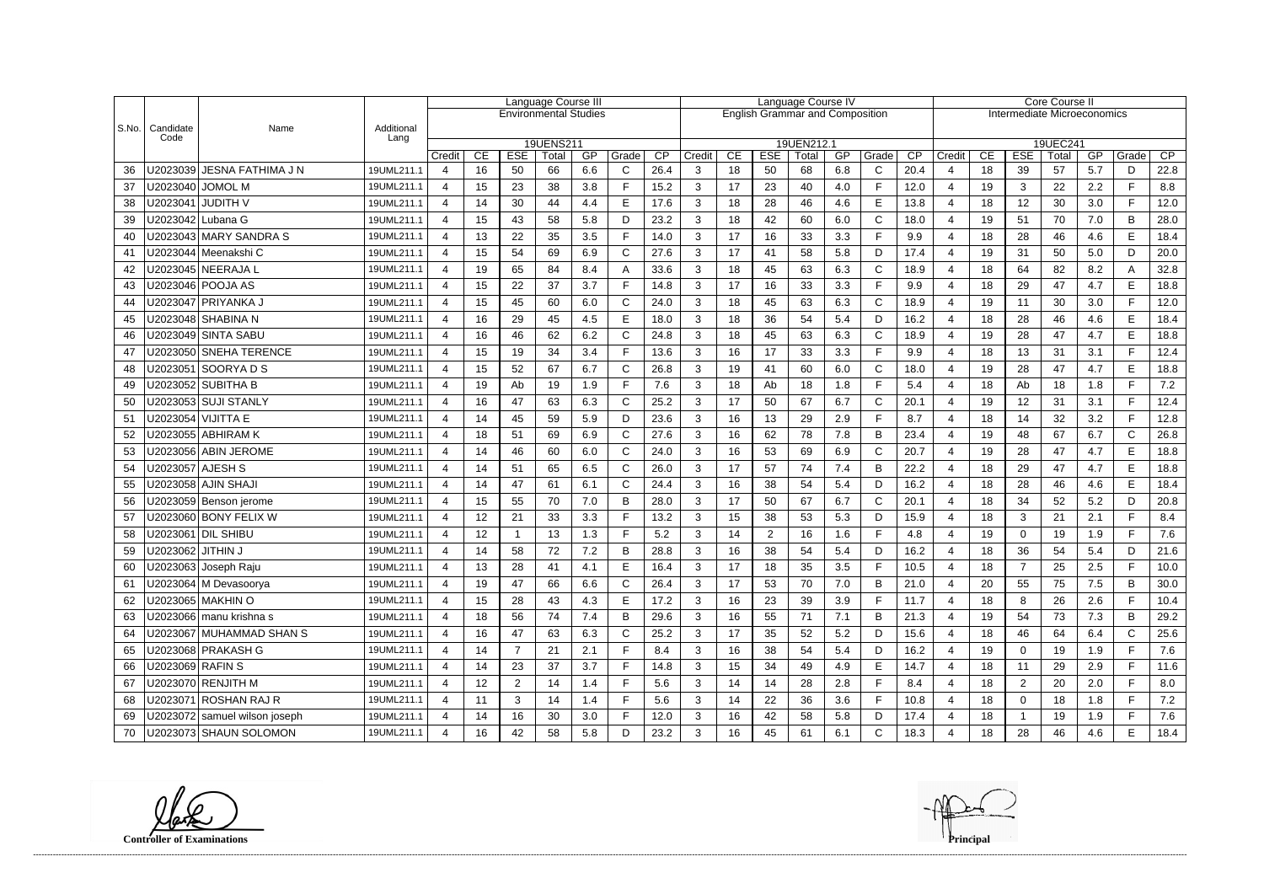|           |                    |                               |                    | Language Course III          |          |                  |             |           |              | Language Course IV                     |                |          |                  |             |           |                       | Core Course II              |                       |          |                  |             |           |              |            |  |
|-----------|--------------------|-------------------------------|--------------------|------------------------------|----------|------------------|-------------|-----------|--------------|----------------------------------------|----------------|----------|------------------|-------------|-----------|-----------------------|-----------------------------|-----------------------|----------|------------------|-------------|-----------|--------------|------------|--|
|           |                    |                               |                    | <b>Environmental Studies</b> |          |                  |             |           |              | <b>English Grammar and Composition</b> |                |          |                  |             |           |                       | Intermediate Microeconomics |                       |          |                  |             |           |              |            |  |
|           |                    |                               |                    |                              |          |                  |             |           |              |                                        |                |          |                  |             |           |                       |                             |                       |          |                  |             |           |              |            |  |
| $ $ S.No. | Candidate<br>Code  | Name                          | Additional<br>Lang |                              |          |                  |             |           |              |                                        |                |          |                  |             |           |                       |                             |                       |          |                  |             |           |              |            |  |
|           |                    |                               |                    |                              |          |                  | 19UENS211   |           |              |                                        |                |          |                  | 19UEN212.1  |           |                       |                             |                       |          |                  | 19UEC241    |           |              |            |  |
| 36        |                    | U2023039 JESNA FATHIMA J N    | 19UML211.1         | Credit<br>$\overline{4}$     | CE<br>16 | <b>ESE</b><br>50 | Total<br>66 | GP<br>6.6 | Grade<br>C   | CP<br>26.4                             | Credit<br>3    | CE<br>18 | <b>ESE</b><br>50 | Total<br>68 | GP<br>6.8 | Grade<br>$\mathsf{C}$ | $\overline{CP}$<br>20.4     | Credit<br>4           | CE<br>18 | <b>ESE</b><br>39 | Total<br>57 | GP<br>5.7 | Grade<br>D   | CP<br>22.8 |  |
| 37        |                    | U2023040 JOMOL M              | 19UML211.1         | 4                            | 15       | 23               | 38          | 3.8       | F            | 15.2                                   | 3              | 17       | 23               | 40          | 4.0       | F                     | 12.0                        | $\overline{4}$        | 19       | 3                | 22          | 2.2       | F.           | 8.8        |  |
| 38        |                    | U2023041   JUDITH V           | 19UML211.1         | 4                            | 14       | 30               | 44          | 4.4       | E            | 17.6                                   | 3              | 18       | 28               | 46          | 4.6       | E                     | 13.8                        | $\boldsymbol{\Delta}$ | 18       | 12               | 30          | 3.0       | F.           | 12.0       |  |
| 39        |                    | U2023042 Lubana G             | 19UML211.1         | 4                            | 15       | 43               | 58          | 5.8       | D            | 23.2                                   | 3              | 18       | 42               | 60          | 6.0       | $\mathsf{C}$          | 18.0                        | $\overline{4}$        | 19       | 51               | 70          | 7.0       | B            | 28.0       |  |
| 40        |                    | U2023043 MARY SANDRA S        | 19UML211.1         | 4                            | 13       | 22               | 35          | 3.5       | F            | 14.0                                   | 3              | 17       | 16               | 33          | 3.3       | F                     | 9.9                         | 4                     | 18       | 28               | 46          | 4.6       | E            | 18.4       |  |
| 41        |                    | U2023044   Meenakshi C        | 19UML211.1         | 4                            | 15       | 54               | 69          | 6.9       | C            | 27.6                                   | 3              | 17       | 41               | 58          | 5.8       | D                     | 17.4                        | $\boldsymbol{\Delta}$ | 19       | 31               | 50          | 5.0       | D            | 20.0       |  |
| 42        |                    | U2023045   NEERAJA L          | 19UML211.1         | $\overline{4}$               | 19       | 65               | 84          | 8.4       |              | 33.6                                   | 3              | 18       | 45               | 63          | 6.3       | C                     | 18.9                        | $\boldsymbol{4}$      | 18       | 64               | 82          | 8.2       | A            | 32.8       |  |
| 43        |                    | U2023046   POOJA AS           | 19UML211.1         | 4                            | 15       | 22               | 37          | 3.7       | F            | 14.8                                   | 3              | 17       | 16               | 33          | 3.3       | F                     | 9.9                         | $\boldsymbol{4}$      | 18       | 29               | 47          | 4.7       | E            | 18.8       |  |
| 44        |                    | U2023047 PRIYANKA J           | 19UML211.1         | 4                            | 15       | 45               | 60          | 6.0       | C            | 24.0                                   | 3              | 18       | 45               | 63          | 6.3       | $\mathsf{C}$          | 18.9                        | $\overline{4}$        | 19       | 11               | 30          | 3.0       | F.           | 12.0       |  |
| 45        |                    | U2023048  SHABINA N           | 19UML211.1         | 4                            | 16       | 29               | 45          | 4.5       | Е            | 18.0                                   | 3              | 18       | 36               | 54          | 5.4       | D                     | 16.2                        | $\overline{4}$        | 18       | 28               | 46          | 4.6       | E.           | 18.4       |  |
| 46        |                    | U2023049 SINTA SABU           | 19UML211.1         | 4                            | 16       | 46               | 62          | 6.2       | C            | 24.8                                   | 3              | 18       | 45               | 63          | 6.3       | $\mathsf{C}$          | 18.9                        | $\boldsymbol{\Delta}$ | 19       | 28               | 47          | 4.7       | E            | 18.8       |  |
| 47        |                    | U2023050 SNEHA TERENCE        | 19UML211.1         | $\overline{a}$               | 15       | 19               | 34          | 3.4       | F            | 13.6                                   | 3              | 16       | 17               | 33          | 3.3       | $\mathsf{F}$          | 9.9                         | $\overline{4}$        | 18       | 13               | 31          | 3.1       | F.           | 12.4       |  |
| 48        |                    |                               | 19UML211.1         | 4                            | 15       | 52               | 67          | 6.7       | C            | 26.8                                   | 3              | 19       | 41               | 60          | 6.0       | C                     | 18.0                        | $\boldsymbol{\Delta}$ | 19       | 28               | 47          | 4.7       | E            | 18.8       |  |
| 49        |                    |                               | 19UML211.1         | 4                            | 19       | Ab               | 19          | 1.9       | Е            | 7.6                                    | 3              | 18       | Ab               | 18          | 1.8       | F                     | 5.4                         | $\overline{4}$        | 18       | Ab               | 18          | 1.8       | F.           | 7.2        |  |
| 50        |                    | U2023053 SUJI STANLY          | 19UML211.1         | 4                            | 16       | 47               | 63          | 6.3       | C            | 25.2                                   | 3              | 17       | 50               | 67          | 6.7       | C                     | 20.1                        | $\overline{4}$        | 19       | 12               | 31          | 3.1       | F.           | 12.4       |  |
| 51        |                    | U2023054 VIJITTA E            | 19UML211.1         | 4                            | 14       | 45               | 59          | 5.9       | D            | 23.6                                   | 3              | 16       | 13               | 29          | 2.9       | E                     | 8.7                         | $\boldsymbol{4}$      | 18       | 14               | 32          | 3.2       | F.           | 12.8       |  |
| 52        |                    | J2023055   ABHIRAM K          | 19UML211.1         | $\overline{4}$               | 18       | 51               | 69          | 6.9       | C            | 27.6                                   | 3              | 16       | 62               | 78          | 7.8       | B                     | 23.4                        | $\boldsymbol{4}$      | 19       | 48               | 67          | 6.7       | $\mathsf{C}$ | 26.8       |  |
| 53        |                    | U2023056 ABIN JEROME          | 19UML211.1         | 4                            | 14       | 46               | 60          | 6.0       | C            | 24.0                                   | 3              | 16       | 53               | 69          | 6.9       | $\mathsf C$           | 20.7                        | $\boldsymbol{4}$      | 19       | 28               | 47          | 4.7       | E            | 18.8       |  |
| 54        | U2023057   AJESH S |                               | 19UML211.1         | 4                            | 14       | 51               | 65          | 6.5       | C            | 26.0                                   | 3              | 17       | 57               | 74          | 7.4       | B                     | 22.2                        | $\overline{4}$        | 18       | 29               | 47          | 4.7       | E            | 18.8       |  |
| 55        |                    | U2023058 AJIN SHAJI           | 19UML211.1         | 4                            | 14       | 47               | 61          | 6.1       | С            | 24.4                                   | 3              | 16       | 38               | 54          | 5.4       | D                     | 16.2                        | $\boldsymbol{4}$      | 18       | 28               | 46          | 4.6       | E.           | 18.4       |  |
| 56        |                    | U2023059 Benson jerome        | 19UML211.1         | 4                            | 15       | 55               | 70          | 7.0       | B            | 28.0                                   | 3              | 17       | 50               | 67          | 6.7       | $\mathsf{C}$          | 20.1                        | $\boldsymbol{\Delta}$ | 18       | 34               | 52          | 5.2       | D            | 20.8       |  |
| 57        |                    | U2023060 BONY FELIX W         | 19UML211.1         | 4                            | 12       | 21               | 33          | 3.3       | F            | 13.2                                   | 3              | 15       | 38               | 53          | 5.3       | D                     | 15.9                        | $\boldsymbol{4}$      | 18       | 3                | 21          | 2.1       | F.           | 8.4        |  |
| 58        |                    | U2023061   DIL SHIBU          | 19UML211.1         | 4                            | 12       | $\mathbf{1}$     | 13          | 1.3       | Е            | 5.2                                    | 3              | 14       | $\overline{2}$   | 16          | 1.6       | F                     | 4.8                         | $\boldsymbol{4}$      | 19       | $\Omega$         | 19          | 1.9       | F.           | 7.6        |  |
| 59        | U2023062           | <b>JITHIN J</b>               | 19UML211.1         | 4                            | 14       | 58               | 72          | 7.2       | B            | 28.8                                   | 3              | 16       | 38               | 54          | 5.4       | D                     | 16.2                        | $\boldsymbol{4}$      | 18       | 36               | 54          | 5.4       | D            | 21.6       |  |
| 60        |                    | U2023063 Joseph Raju          | 19UML211.1         |                              | 13       | 28               | $\Delta$ 1  | 4.1       | Е            | 16.4                                   | $\mathbf{R}$   | 17<br>.  | 18               | 35          | 35<br>◡.◡ | Е                     | 10 <sub>5</sub><br>1 U.U    |                       | 18       | $\overline{7}$   | 25          | 2.5       | E.           | 10.0       |  |
| 61        |                    | U2023064 M Devasoorya         | 19UML211.1         | $\overline{4}$               | 19       | 47               | 66          | 6.6       | $\mathsf{C}$ | 26.4                                   | 3              | 17       | 53               | 70          | 7.0       | B                     | 21.0                        | $\overline{4}$        | 20       | 55               | 75          | 7.5       | B            | 30.0       |  |
| 62        |                    | U2023065 MAKHIN O             | 19UML211.1         | $\overline{4}$               | 15       | 28               | 43          | 4.3       | E            | 17.2                                   | $\mathbf{3}$   | 16       | 23               | 39          | 3.9       | $\mathsf F$           | 11.7                        | 4                     | 18       | 8                | 26          | 2.6       | F            | 10.4       |  |
| 63        |                    | U2023066 manu krishna s       | 19UML211.1         | 4                            | 18       | 56               | 74          | 7.4       | B            | 29.6                                   | 3              | 16       | 55               | 71          | 7.1       | B                     | 21.3                        | 4                     | 19       | 54               | 73          | 7.3       | B            | 29.2       |  |
| 64        |                    | U2023067 MUHAMMAD SHAN S      | 19UML211.1         | $\overline{4}$               | 16       | 47               | 63          | 6.3       | C            | 25.2                                   | 3              | 17       | 35               | 52          | 5.2       | D                     | 15.6                        | 4                     | 18       | 46               | 64          | 6.4       | C            | 25.6       |  |
| 65        |                    | U2023068 PRAKASH G            | 19UML211.1         | 4                            | 14       | $\overline{7}$   | 21          | 2.1       | F            | 8.4                                    | 3 <sup>1</sup> | 16       | 38               | 54          | 5.4       | D                     | 16.2                        | 4                     | 19       | $\mathbf{0}$     | 19          | 1.9       | F.           | 7.6        |  |
| 66        | U2023069 RAFIN S   |                               | 19UML211.1         | 4                            | 14       | 23               | 37          | 3.7       |              | 14.8                                   | 3              | 15       | 34               | 49          | 4.9       | Е                     | 14.7                        | 4                     | 18       | 11               | 29          | 2.9       | F.           | 11.6       |  |
| 67        |                    | U2023070 RENJITH M            | 19UML211.1         | $\overline{4}$               | 12       | $\overline{2}$   | 14          | 1.4       | F            | 5.6                                    | 3              | 14       | 14               | 28          | 2.8       | F                     | 8.4                         | $\overline{4}$        | 18       | 2                | 20          | 2.0       | F.           | 8.0        |  |
| 68        |                    | U2023071 ROSHAN RAJ R         | 19UML211.1         | 4                            | 11       | 3                | 14          | 1.4       |              | 5.6                                    | 3              | 14       | 22               | 36          | 3.6       | F                     | 10.8                        | 4                     | 18       | $\overline{0}$   | 18          | 1.8       | F.           | 7.2        |  |
| 69        |                    | U2023072 samuel wilson joseph | 19UML211.1         | 4                            | 14       | 16               | 30          | 3.0       | F            | 12.0                                   | 3              | 16       | 42               | 58          | 5.8       | D                     | 17.4                        | 4                     | 18       |                  | 19          | 1.9       | F.           | 7.6        |  |
| 70        |                    | U2023073 SHAUN SOLOMON        | 19UML211.1         |                              | 16       | 42               | 58          | 5.8       | D            | 23.2                                   | 3              | 16       | 45               | 61          | 6.1       | $\mathsf{C}$          | 18.3                        |                       | 18       | 28               | 46          | 4.6       | E.           | 18.4       |  |

**Controller of Examinations Principal**

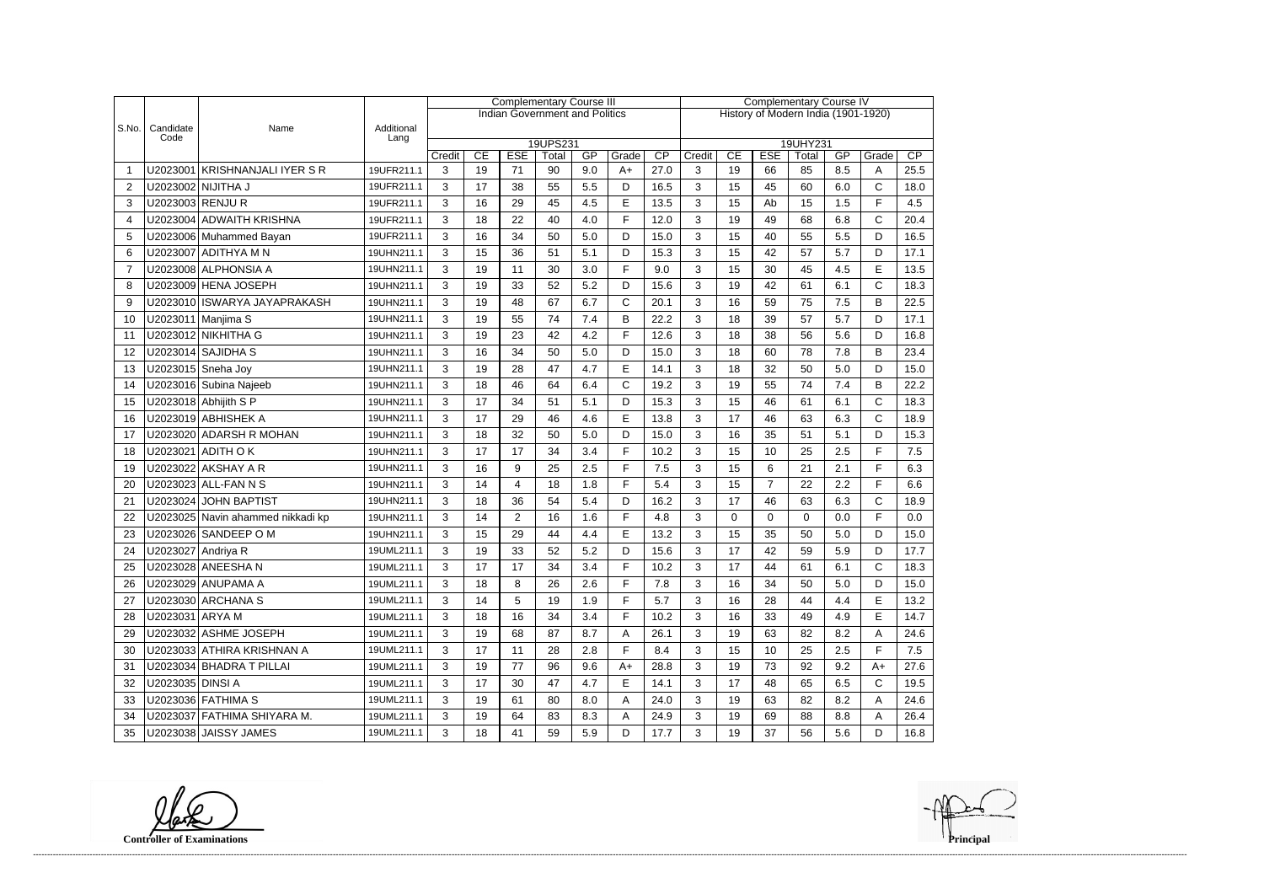|                |                    |                                   |                    | <b>Complementary Course III</b> |    |                |                                       |     |              |                                     | <b>Complementary Course IV</b> |                                                            |                |             |     |              |      |  |  |
|----------------|--------------------|-----------------------------------|--------------------|---------------------------------|----|----------------|---------------------------------------|-----|--------------|-------------------------------------|--------------------------------|------------------------------------------------------------|----------------|-------------|-----|--------------|------|--|--|
|                |                    |                                   |                    |                                 |    |                | <b>Indian Government and Politics</b> |     |              | History of Modern India (1901-1920) |                                |                                                            |                |             |     |              |      |  |  |
| S.No.          | Candidate<br>Code  | Name                              | Additional<br>Lang |                                 |    |                |                                       |     |              |                                     |                                |                                                            |                |             |     |              |      |  |  |
|                |                    |                                   |                    | Credit                          | CE | <b>ESE</b>     | 19UPS231<br>Total                     | GP  | Grade        | CP                                  | Credit                         | 19UHY231<br>CP<br>CE<br><b>ESE</b><br>GP<br>Grade<br>Total |                |             |     |              |      |  |  |
|                |                    | U2023001 KRISHNANJALI IYER S R    | 19UFR211.1         | 3                               | 19 | 71             | 90                                    | 9.0 | $A+$         | 27.0                                | 3                              | 19                                                         | 66             | 85          | 8.5 | A            | 25.5 |  |  |
| $\overline{2}$ |                    | U2023002 NIJITHA J                | 19UFR211.1         | 3                               | 17 | 38             | 55                                    | 5.5 | D            | 16.5                                | 3                              | 15                                                         | 45             | 60          | 6.0 | $\mathsf{C}$ | 18.0 |  |  |
| 3              | U2023003 RENJU R   |                                   | 19UFR211.1         | 3                               | 16 | 29             | 45                                    | 4.5 | E            | 13.5                                | 3                              | 15                                                         | Ab             | 15          | 1.5 | F            | 4.5  |  |  |
| $\overline{4}$ |                    | U2023004 ADWAITH KRISHNA          | 19UFR211.1         | 3                               | 18 | 22             | 40                                    | 4.0 | E            | 12.0                                | 3                              | 19                                                         | 49             | 68          | 6.8 | $\mathsf{C}$ | 20.4 |  |  |
| 5              |                    | U2023006 Muhammed Bayan           | 19UFR211.1         | 3                               | 16 | 34             | 50                                    | 5.0 | D            | 15.0                                | 3                              | 15                                                         | 40             | 55          | 5.5 | D            | 16.5 |  |  |
| 6              |                    | U2023007 ADITHYA M N              | 19UHN211.1         | 3                               | 15 | 36             | 51                                    | 5.1 | D            | 15.3                                | 3                              | 15                                                         | 42             | 57          | 5.7 | D            | 17.1 |  |  |
| $\overline{7}$ |                    | U2023008 ALPHONSIA A              | 19UHN211.1         | 3                               | 19 | 11             | 30                                    | 3.0 | F            | 9.0                                 | 3                              | 15                                                         | 30             | 45          | 4.5 | E            | 13.5 |  |  |
| 8              |                    | U2023009 HENA JOSEPH              | 19UHN211.1         | 3                               | 19 | 33             | 52                                    | 5.2 | D            | 15.6                                | 3                              | 19                                                         | 42             | 61          | 6.1 | C            | 18.3 |  |  |
| 9              |                    | U2023010 ISWARYA JAYAPRAKASH      | 19UHN211.1         | 3                               | 19 | 48             | 67                                    | 6.7 | $\mathsf{C}$ | 20.1                                | 3                              | 16                                                         | 59             | 75          | 7.5 | B            | 22.5 |  |  |
| 10             |                    | U2023011   Manjima S              | 19UHN211.1         | 3                               | 19 | 55             | 74                                    | 7.4 | B            | 22.2                                | 3                              | 18                                                         | 39             | 57          | 5.7 | D            | 17.1 |  |  |
| 11             |                    | U2023012 NIKHITHA G               | 19UHN211.1         | 3                               | 19 | 23             | 42                                    | 4.2 | F            | 12.6                                | 3                              | 18                                                         | 38             | 56          | 5.6 | D            | 16.8 |  |  |
| 12             |                    | U2023014 SAJIDHA S                | 19UHN211.1         | 3                               | 16 | 34             | 50                                    | 5.0 | D            | 15.0                                | 3                              | 18                                                         | 60             | 78          | 7.8 | B            | 23.4 |  |  |
| 13             |                    | U2023015 Sneha Joy                | 19UHN211.1         | 3                               | 19 | 28             | 47                                    | 4.7 | E            | 14.1                                | 3                              | 18                                                         | 32             | 50          | 5.0 | D            | 15.0 |  |  |
|                |                    |                                   |                    |                                 |    | 46             |                                       |     | $\mathsf{C}$ |                                     |                                |                                                            |                | 74          | 7.4 | B            |      |  |  |
| 14             |                    | U2023016 Subina Najeeb            | 19UHN211.1         | 3                               | 18 |                | 64                                    | 6.4 |              | 19.2                                | 3                              | 19                                                         | 55             |             |     |              | 22.2 |  |  |
| 15             |                    | U2023018 Abhijith S P             | 19UHN211.1         | 3                               | 17 | 34             | 51                                    | 5.1 | D            | 15.3                                | 3                              | 15                                                         | 46             | 61          | 6.1 | C            | 18.3 |  |  |
| 16             |                    | U2023019 ABHISHEK A               | 19UHN211.1         | 3                               | 17 | 29             | 46                                    | 4.6 | E            | 13.8                                | 3                              | 17                                                         | 46             | 63          | 6.3 | $\mathsf{C}$ | 18.9 |  |  |
| 17             |                    | U2023020 ADARSH R MOHAN           | 19UHN211.1         | 3                               | 18 | 32             | 50                                    | 5.0 | D            | 15.0                                | 3                              | 16                                                         | 35             | 51          | 5.1 | D            | 15.3 |  |  |
| 18             |                    | U2023021 ADITH O K                | 19UHN211.1         | 3                               | 17 | 17             | 34                                    | 3.4 | F            | 10.2                                | 3                              | 15                                                         | 10             | 25          | 2.5 | F            | 7.5  |  |  |
| 19             |                    | U2023022 AKSHAY A R               | 19UHN211.1         | 3                               | 16 | 9              | 25                                    | 2.5 | F            | 7.5                                 | 3                              | 15                                                         | 6              | 21          | 2.1 | F            | 6.3  |  |  |
| 20             |                    | U2023023 ALL-FAN N S              | 19UHN211.1         | 3                               | 14 | 4              | 18                                    | 1.8 | F            | 5.4                                 | 3                              | 15                                                         | $\overline{7}$ | 22          | 2.2 | F            | 6.6  |  |  |
| 21             |                    | U2023024 JOHN BAPTIST             | 19UHN211.1         | 3                               | 18 | 36             | 54                                    | 5.4 | D            | 16.2                                | 3                              | 17                                                         | 46             | 63          | 6.3 | $\mathsf{C}$ | 18.9 |  |  |
| 22             |                    | U2023025 Navin ahammed nikkadi kp | 19UHN211.1         | 3                               | 14 | $\overline{2}$ | 16                                    | 1.6 | F            | 4.8                                 | 3                              | $\mathbf{0}$                                               | 0              | $\mathbf 0$ | 0.0 | F            | 0.0  |  |  |
| 23             |                    | U2023026 SANDEEP O M              | 19UHN211.1         | 3                               | 15 | 29             | 44                                    | 4.4 | E            | 13.2                                | 3                              | 15                                                         | 35             | 50          | 5.0 | D            | 15.0 |  |  |
| 24             | U2023027 Andriya R |                                   | 19UML211.1         | 3                               | 19 | 33             | 52                                    | 5.2 | D            | 15.6                                | 3                              | 17                                                         | 42             | 59          | 5.9 | D            | 17.7 |  |  |
| 25             |                    | U2023028 ANEESHA N                | 19UML211.1         | 3                               | 17 | 17             | 34                                    | 3.4 | F            | 10.2                                | 3                              | 17                                                         | 44             | 61          | 6.1 | C            | 18.3 |  |  |
| 26             |                    | U2023029 ANUPAMA A                | 19UML211.1         | 3                               | 18 | 8              | 26                                    | 2.6 | F            | 7.8                                 | 3                              | 16                                                         | 34             | 50          | 5.0 | D            | 15.0 |  |  |
| 27             |                    | U2023030 ARCHANA S                | 19UML211.1         | 3                               | 14 | 5              | 19                                    | 1.9 | F            | 5.7                                 | 3                              | 16                                                         | 28             | 44          | 4.4 | E            | 13.2 |  |  |
| 28             | U2023031 ARYA M    |                                   | 19UML211.1         | 3                               | 18 | 16             | 34                                    | 3.4 | F            | 10.2                                | 3                              | 16                                                         | 33             | 49          | 4.9 | E            | 14.7 |  |  |
| 29             |                    | U2023032 ASHME JOSEPH             | 19UML211.1         | 3                               | 19 | 68             | 87                                    | 8.7 | A            | 26.1                                | 3                              | 19                                                         | 63             | 82          | 8.2 | A            | 24.6 |  |  |
| 30             |                    | U2023033 ATHIRA KRISHNAN A        | 19UML211.1         | 3                               | 17 | 11             | 28                                    | 2.8 | F            | 8.4                                 | 3                              | 15                                                         | 10             | 25          | 2.5 | F            | 7.5  |  |  |
| 31             |                    | U2023034 BHADRA T PILLAI          | 19UML211.1         | 3                               | 19 | 77             | 96                                    | 9.6 | $A+$         | 28.8                                | 3                              | 19                                                         | 73             | 92          | 9.2 | $A+$         | 27.6 |  |  |
| 32             | U2023035 DINSI A   |                                   | 19UML211.1         | 3                               | 17 | 30             | 47                                    | 4.7 | E            | 14.1                                | 3                              | 17                                                         | 48             | 65          | 6.5 | C            | 19.5 |  |  |
| 33             |                    | U2023036 FATHIMA S                | 19UML211.1         | 3                               | 19 | 61             | 80                                    | 8.0 | A            | 24.0                                | 3                              | 19                                                         | 63             | 82          | 8.2 | Α            | 24.6 |  |  |
| 34             |                    | U2023037 FATHIMA SHIYARA M.       | 19UML211.1         | 3                               | 19 | 64             | 83                                    | 8.3 | A            | 24.9                                | 3                              | 19                                                         | 69             | 88          | 8.8 | Α            | 26.4 |  |  |
| 35             |                    | U2023038 JAISSY JAMES             | 19UML211.1         | 3                               | 18 | 41             | 59                                    | 5.9 | D            | 17.7                                | 3                              | 19                                                         | 37             | 56          | 5.6 | D            | 16.8 |  |  |

**Controller of Examinations**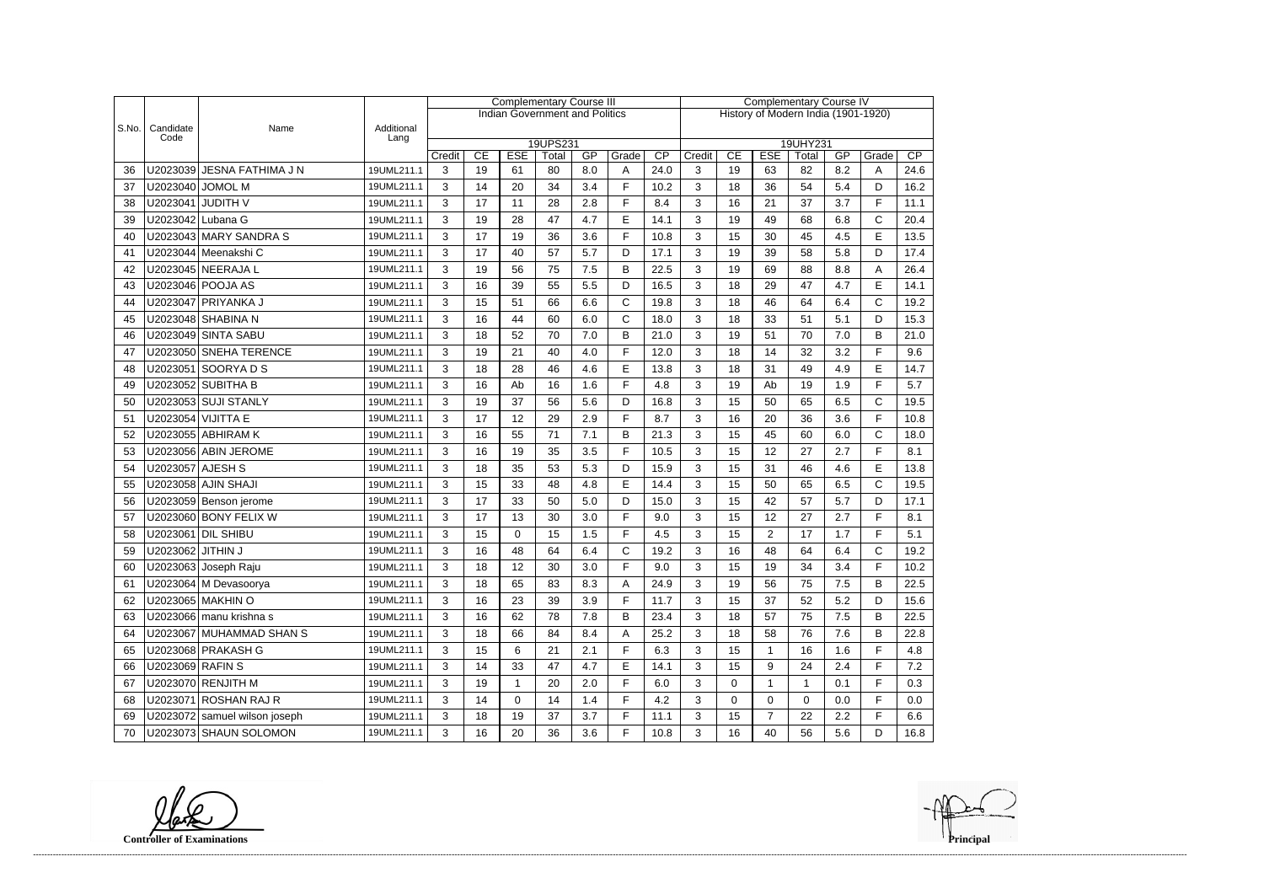|       |                   |                               |                    | <b>Complementary Course III</b> |    |            |                                       |         |              |                                     | <b>Complementary Course IV</b> |             |                |              |     |              |      |  |
|-------|-------------------|-------------------------------|--------------------|---------------------------------|----|------------|---------------------------------------|---------|--------------|-------------------------------------|--------------------------------|-------------|----------------|--------------|-----|--------------|------|--|
|       |                   |                               |                    |                                 |    |            | <b>Indian Government and Politics</b> |         |              | History of Modern India (1901-1920) |                                |             |                |              |     |              |      |  |
| S.No. | Candidate<br>Code | Name                          | Additional<br>Lang |                                 |    |            |                                       |         |              |                                     |                                |             |                |              |     |              |      |  |
|       |                   |                               |                    |                                 | CE | <b>ESE</b> | 19UPS231                              | GP      | Grade        | CP                                  |                                | CE          | <b>ESE</b>     | 19UHY231     | GP  |              | CP   |  |
| 36    |                   | U2023039 JESNA FATHIMA J N    | 19UML211.1         | Credit<br>3                     | 19 | 61         | Total<br>80                           | 8.0     | A            | 24.0                                | Credit<br>3                    | 19          | 63             | Total<br>82  | 8.2 | Grade<br>A   | 24.6 |  |
| 37    | U2023040          | <b>JOMOL M</b>                | 19UML211.1         | 3                               | 14 | 20         | 34                                    | 3.4     | F            | 10.2                                | 3                              | 18          | 36             | 54           | 5.4 | D            | 16.2 |  |
| 38    |                   | U2023041 JUDITH V             | 19UML211.1         | 3                               | 17 | 11         | 28                                    | 2.8     | F            | 8.4                                 | 3                              | 16          | 21             | 37           | 3.7 | F            | 11.1 |  |
| 39    | U2023042 Lubana G |                               | 19UML211.1         | 3                               | 19 | 28         | 47                                    | 4.7     | E            | 14.1                                | 3                              | 19          | 49             | 68           | 6.8 | $\mathsf{C}$ | 20.4 |  |
| 40    |                   | U2023043 MARY SANDRA S        | 19UML211.1         | 3                               | 17 | 19         | 36                                    | 3.6     | E            | 10.8                                | 3                              | 15          | 30             | 45           | 4.5 | E            | 13.5 |  |
| 41    |                   | U2023044 Meenakshi C          | 19UML211.1         | 3                               | 17 | 40         | 57                                    | 5.7     | D            | 17.1                                | 3                              | 19          | 39             | 58           | 5.8 | D            | 17.4 |  |
| 42    |                   | U2023045 NEERAJA L            | 19UML211.1         | 3                               | 19 | 56         | 75                                    | 7.5     | B            | 22.5                                | 3                              | 19          | 69             | 88           | 8.8 | Α            | 26.4 |  |
| 43    |                   | U2023046 POOJA AS             | 19UML211.1         | 3                               | 16 | 39         | 55                                    | 5.5     | D            | 16.5                                | 3                              | 18          | 29             | 47           | 4.7 | E            | 14.1 |  |
| 44    |                   | U2023047   PRIYANKA J         | 19UML211.1         | 3                               | 15 | 51         | 66                                    | 6.6     | $\mathsf{C}$ | 19.8                                | 3                              | 18          | 46             | 64           | 6.4 | C            | 19.2 |  |
| 45    |                   | U2023048 SHABINA N            | 19UML211.1         | 3                               | 16 | 44         | 60                                    | 6.0     | $\mathsf{C}$ | 18.0                                | 3                              | 18          | 33             | 51           | 5.1 | D            | 15.3 |  |
| 46    |                   | U2023049 SINTA SABU           | 19UML211.1         | 3                               | 18 | 52         | 70                                    | 7.0     | B            | 21.0                                | 3                              | 19          | 51             | 70           | 7.0 | B            | 21.0 |  |
| 47    |                   | U2023050 SNEHA TERENCE        | 19UML211.1         | 3                               | 19 | 21         | 40                                    | 4.0     | F            | 12.0                                | 3                              | 18          | 14             | 32           | 3.2 | F            | 9.6  |  |
| 48    |                   | U2023051 SOORYA D S           | 19UML211.1         | 3                               | 18 | 28         | 46                                    | 4.6     | E            | 13.8                                | 3                              | 18          | 31             | 49           | 4.9 | E            | 14.7 |  |
| 49    |                   | U2023052 SUBITHA B            | 19UML211.1         | 3                               | 16 | Ab         | 16                                    | 1.6     | F            | 4.8                                 | 3                              | 19          | Ab             | 19           | 1.9 | E            | 5.7  |  |
| 50    |                   | U2023053 SUJI STANLY          | 19UML211.1         | 3                               | 19 | 37         | 56                                    | 5.6     | D            | 16.8                                | 3                              | 15          | 50             | 65           | 6.5 | C            | 19.5 |  |
| 51    |                   | U2023054 VIJITTA E            | 19UML211.1         | 3                               | 17 | 12         | 29                                    | 2.9     | F            | 8.7                                 | 3                              | 16          | 20             | 36           | 3.6 | F            | 10.8 |  |
| 52    |                   | U2023055 ABHIRAM K            | 19UML211.1         | 3                               | 16 | 55         | 71                                    | 7.1     | B            | 21.3                                | 3                              | 15          | 45             | 60           | 6.0 | $\mathsf{C}$ | 18.0 |  |
| 53    |                   | U2023056 ABIN JEROME          | 19UML211.1         | 3                               | 16 | 19         | 35                                    | 3.5     | F            | 10.5                                | 3                              | 15          | 12             | 27           | 2.7 | F            | 8.1  |  |
| 54    | U2023057 AJESH S  |                               | 19UML211.1         | 3                               | 18 | 35         | 53                                    | 5.3     | D            | 15.9                                | 3                              | 15          | 31             | 46           | 4.6 | E            | 13.8 |  |
| 55    |                   | U2023058 AJIN SHAJI           | 19UML211.1         | 3                               | 15 | 33         | 48                                    | 4.8     | E            | 14.4                                | 3                              | 15          | 50             | 65           | 6.5 | C            | 19.5 |  |
| 56    |                   | U2023059 Benson jerome        | 19UML211.1         | 3                               | 17 | 33         | 50                                    | 5.0     | D            | 15.0                                | 3                              | 15          | 42             | 57           | 5.7 | D            | 17.1 |  |
| 57    |                   | U2023060 BONY FELIX W         | 19UML211.1         | 3                               | 17 | 13         | 30                                    | 3.0     | F            | 9.0                                 | 3                              | 15          | 12             | 27           | 2.7 | F            | 8.1  |  |
| 58    |                   | U2023061   DIL SHIBU          | 19UML211.1         | 3                               | 15 | $\Omega$   | 15                                    | 1.5     | F            | 4.5                                 | 3                              | 15          | $\overline{2}$ | 17           | 1.7 | F            | 5.1  |  |
| 59    | U2023062 JITHIN J |                               | 19UML211.1         | 3                               | 16 | 48         | 64                                    | 6.4     | $\mathsf{C}$ | 19.2                                | 3                              | 16          | 48             | 64           | 6.4 | $\mathsf{C}$ | 19.2 |  |
| 60    |                   | U2023063 Joseph Raju          | 19UML211.1         | 3                               | 18 | 12         | $30\,$                                | $3.0\,$ | F            | 9.0                                 | 3                              | 15          | 19             | 34           | 3.4 | F            | 10.2 |  |
| 61    |                   | U2023064 M Devasoorya         | 19UML211.1         | 3                               | 18 | 65         | 83                                    | 8.3     | A            | 24.9                                | 3                              | 19          | 56             | 75           | 7.5 | В            | 22.5 |  |
| 62    |                   | U2023065 MAKHIN O             | 19UML211.1         | 3                               | 16 | 23         | 39                                    | 3.9     | F            | 11.7                                | 3                              | 15          | 37             | 52           | 5.2 | D            | 15.6 |  |
| 63    |                   | U2023066 manu krishna s       | 19UML211.1         | 3                               | 16 | 62         | 78                                    | 7.8     | B            | 23.4                                | 3                              | 18          | 57             | 75           | 7.5 | B            | 22.5 |  |
| 64    |                   | U2023067 MUHAMMAD SHAN S      | 19UML211.1         | 3                               | 18 | 66         | 84                                    | 8.4     | A            | 25.2                                | 3                              | 18          | 58             | 76           | 7.6 | В            | 22.8 |  |
| 65    |                   | U2023068 PRAKASH G            | 19UML211.1         | 3                               | 15 | 6          | 21                                    | 2.1     | F            | 6.3                                 | 3                              | 15          | 1              | 16           | 1.6 | F            | 4.8  |  |
| 66    | U2023069 RAFIN S  |                               | 19UML211.1         | 3                               | 14 | 33         | 47                                    | 4.7     | E            | 14.1                                | 3                              | 15          | 9              | 24           | 2.4 | F            | 7.2  |  |
| 67    |                   | U2023070 RENJITH M            | 19UML211.1         | 3                               | 19 | 1          | 20                                    | 2.0     | F            | 6.0                                 | 3                              | $\mathbf 0$ | 1              | $\mathbf{1}$ | 0.1 | F            | 0.3  |  |
| 68    |                   | U2023071 ROSHAN RAJ R         | 19UML211.1         | 3                               | 14 | 0          | 14                                    | 1.4     | F            | 4.2                                 | 3                              | 0           | 0              | 0            | 0.0 | F            | 0.0  |  |
| 69    |                   | U2023072 samuel wilson joseph | 19UML211.1         | 3                               | 18 | 19         | 37                                    | 3.7     | F            | 11.1                                | 3                              | 15          | $\overline{7}$ | 22           | 2.2 | F            | 6.6  |  |
| 70    |                   | U2023073 SHAUN SOLOMON        | 19UML211.1         | 3                               | 16 | 20         | 36                                    | 3.6     | F            | 10.8                                | 3                              | 16          | 40             | 56           | 5.6 | D            | 16.8 |  |

**Controller of Examinations**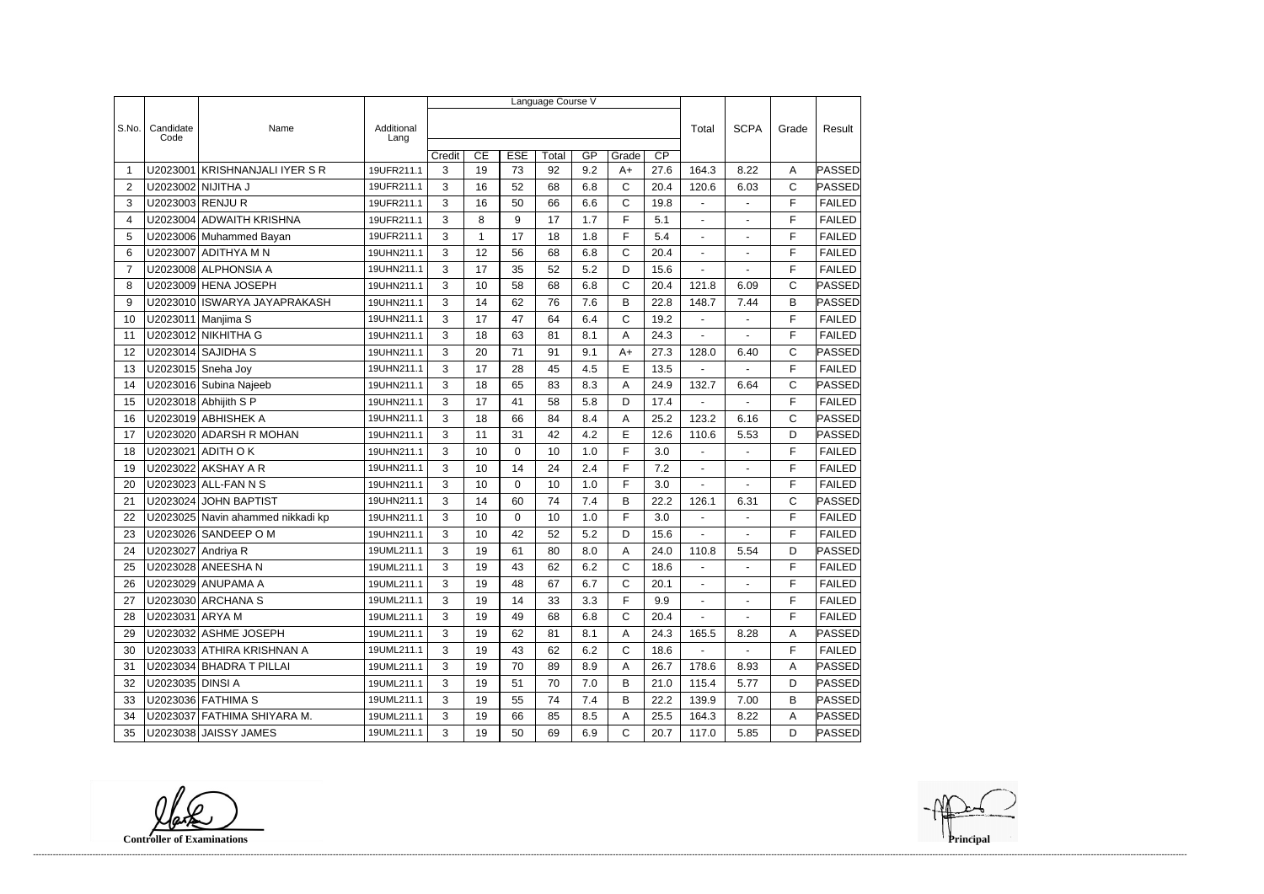|                |                    | Language Course V                 |                    |        |    |                  |       |     |              |                 |                          |                |              |               |  |
|----------------|--------------------|-----------------------------------|--------------------|--------|----|------------------|-------|-----|--------------|-----------------|--------------------------|----------------|--------------|---------------|--|
|                |                    |                                   |                    |        |    |                  |       |     |              |                 |                          |                |              | Result        |  |
| S.No.          | Candidate<br>Code  | Name                              | Additional<br>Lang |        |    |                  |       |     |              |                 | Total                    | <b>SCPA</b>    | Grade        |               |  |
|                |                    |                                   |                    | Credit | CE | <b>ESE</b>       | Total | GP  | Grade        | $\overline{CP}$ |                          |                |              |               |  |
| -1             |                    | U2023001 KRISHNANJALI IYER S R    | 19UFR211.1         | 3      | 19 | 73               | 92    | 9.2 | $A+$         | 27.6            | 164.3                    | 8.22           | Α            | PASSED        |  |
| $\overline{2}$ |                    | U2023002 NIJITHA J                | 19UFR211.1         | 3      | 16 | 52               | 68    | 6.8 | C            | 20.4            | 120.6                    | 6.03           | $\mathsf C$  | PASSED        |  |
| 3              | U2023003 RENJU R   |                                   | 19UFR211.1         | 3      | 16 | 50               | 66    | 6.6 | C            | 19.8            | $\blacksquare$           |                | F            | <b>FAILED</b> |  |
| 4              |                    | U2023004 ADWAITH KRISHNA          | 19UFR211.1         | 3      | 8  | $\boldsymbol{9}$ | 17    | 1.7 | F            | 5.1             |                          |                | F            | <b>FAILED</b> |  |
| 5              |                    | U2023006 Muhammed Bayan           | 19UFR211.1         | 3      | 1  | 17               | 18    | 1.8 | F            | 5.4             | $\blacksquare$           | $\blacksquare$ | F            | <b>FAILED</b> |  |
| 6              |                    | U2023007 ADITHYA M N              | 19UHN211.1         | 3      | 12 | 56               | 68    | 6.8 | C            | 20.4            | $\blacksquare$           | $\sim$         | F            | <b>FAILED</b> |  |
| 7              |                    | U2023008 ALPHONSIA A              | 19UHN211.1         | 3      | 17 | 35               | 52    | 5.2 | D            | 15.6            |                          |                | F            | <b>FAILED</b> |  |
| 8              |                    | U2023009 HENA JOSEPH              | 19UHN211.1         | 3      | 10 | 58               | 68    | 6.8 | C            | 20.4            | 121.8                    | 6.09           | C            | PASSED        |  |
| 9              |                    | U2023010 ISWARYA JAYAPRAKASH      | 19UHN211.1         | 3      | 14 | 62               | 76    | 7.6 | B            | 22.8            | 148.7                    | 7.44           | B            | PASSED        |  |
| 10             |                    | U2023011   Manjima S              | 19UHN211.1         | 3      | 17 | 47               | 64    | 6.4 | C            | 19.2            | $\overline{\phantom{a}}$ |                | F            | <b>FAILED</b> |  |
| 11             |                    | U2023012 NIKHITHA G               | 19UHN211.1         | 3      | 18 | 63               | 81    | 8.1 | Α            | 24.3            |                          |                | F            | <b>FAILED</b> |  |
| 12             |                    | U2023014 SAJIDHA S                | 19UHN211.1         | 3      | 20 | 71               | 91    | 9.1 | $A+$         | 27.3            | 128.0                    | 6.40           | $\mathsf C$  | PASSED        |  |
| 13             |                    | U2023015 Sneha Joy                | 19UHN211.1         | 3      | 17 | 28               | 45    | 4.5 | E            | 13.5            |                          |                | F            | <b>FAILED</b> |  |
| 14             |                    | U2023016 Subina Najeeb            | 19UHN211.1         | 3      | 18 | 65               | 83    | 8.3 | A            | 24.9            | 132.7                    | 6.64           | $\mathsf{C}$ | PASSED        |  |
| 15             |                    | U2023018 Abhijith S P             | 19UHN211.1         | 3      | 17 | 41               | 58    | 5.8 | D            | 17.4            |                          | $\sim$         | F            | <b>FAILED</b> |  |
| 16             |                    | U2023019 ABHISHEK A               | 19UHN211.1         | 3      | 18 | 66               | 84    | 8.4 | A            | 25.2            | 123.2                    | 6.16           | $\mathsf C$  | PASSED        |  |
| 17             |                    | U2023020 ADARSH R MOHAN           | 19UHN211.1         | 3      | 11 | 31               | 42    | 4.2 | E            | 12.6            | 110.6                    | 5.53           | D            | PASSED        |  |
| 18             |                    | U2023021 ADITH O K                | 19UHN211.1         | 3      | 10 | $\mathbf 0$      | 10    | 1.0 | F            | 3.0             | $\blacksquare$           | $\blacksquare$ | F            | <b>FAILED</b> |  |
| 19             |                    | U2023022 AKSHAY A R               | 19UHN211.1         | 3      | 10 | 14               | 24    | 2.4 | F            | 7.2             |                          |                | F            | <b>FAILED</b> |  |
| 20             |                    | U2023023 ALL-FAN N S              | 19UHN211.1         | 3      | 10 | $\mathbf 0$      | 10    | 1.0 | F            | 3.0             |                          |                | F            | <b>FAILED</b> |  |
| 21             | U2023024           | <b>JOHN BAPTIST</b>               | 19UHN211.1         | 3      | 14 | 60               | 74    | 7.4 | B            | 22.2            | 126.1                    | 6.31           | C            | PASSED        |  |
| 22             |                    | U2023025 Navin ahammed nikkadi kp | 19UHN211.1         | 3      | 10 | $\mathbf 0$      | 10    | 1.0 | F            | 3.0             |                          |                | F            | <b>FAILED</b> |  |
| 23             |                    | U2023026 SANDEEP O M              | 19UHN211.1         | 3      | 10 | 42               | 52    | 5.2 | D            | 15.6            |                          |                | F            | <b>FAILED</b> |  |
| 24             | U2023027 Andriya R |                                   | 19UML211.1         | 3      | 19 | 61               | 80    | 8.0 | A            | 24.0            | 110.8                    | 5.54           | D            | PASSED        |  |
| 25             |                    | U2023028 ANEESHA N                | 19UML211.1         | 3      | 19 | 43               | 62    | 6.2 | C            | 18.6            | $\sim$                   | $\sim$         | $\mathsf F$  | <b>FAILED</b> |  |
| 26             |                    | U2023029 ANUPAMA A                | 19UML211.1         | 3      | 19 | 48               | 67    | 6.7 | C            | 20.1            |                          |                | F            | <b>FAILED</b> |  |
| 27             |                    | U2023030 ARCHANA S                | 19UML211.1         | 3      | 19 | 14               | 33    | 3.3 | F            | 9.9             | $\blacksquare$           |                | F            | <b>FAILED</b> |  |
| 28             | U2023031 ARYA M    |                                   | 19UML211.1         | 3      | 19 | 49               | 68    | 6.8 | С            | 20.4            | $\blacksquare$           | $\blacksquare$ | F            | <b>FAILED</b> |  |
| 29             |                    | U2023032 ASHME JOSEPH             | 19UML211.1         | 3      | 19 | 62               | 81    | 8.1 | A            | 24.3            | 165.5                    | 8.28           | Α            | PASSED        |  |
| 30             |                    | U2023033 ATHIRA KRISHNAN A        | 19UML211.1         | 3      | 19 | 43               | 62    | 6.2 | $\mathsf{C}$ | 18.6            | $\blacksquare$           | $\sim$         | F            | <b>FAILED</b> |  |
| 31             |                    | U2023034 BHADRA T PILLAI          | 19UML211.1         | 3      | 19 | 70               | 89    | 8.9 | A            | 26.7            | 178.6                    | 8.93           | A            | PASSED        |  |
| 32             | U2023035 DINSI A   |                                   | 19UML211.1         | 3      | 19 | 51               | 70    | 7.0 | В            | 21.0            | 115.4                    | 5.77           | D            | PASSED        |  |
| 33             |                    | U2023036 FATHIMA S                | 19UML211.1         | 3      | 19 | 55               | 74    | 7.4 | B            | 22.2            | 139.9                    | 7.00           | В            | PASSED        |  |
| 34             |                    | U2023037 FATHIMA SHIYARA M.       | 19UML211.1         | 3      | 19 | 66               | 85    | 8.5 | Α            | 25.5            | 164.3                    | 8.22           | Α            | PASSED        |  |
| 35             |                    | U2023038 JAISSY JAMES             | 19UML211.1         | 3      | 19 | 50               | 69    | 6.9 | $\mathsf{C}$ | 20.7            | 117.0                    | 5.85           | D            | PASSED        |  |

**Controller of Examinations**